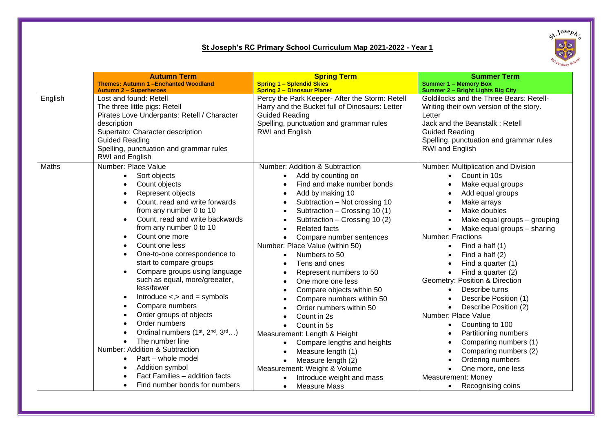## **St Joseph's RC Primary School Curriculum Map 2021-2022 - Year 1**



|         | <b>Autumn Term</b>                                                                                                                                                                                                                                                                                                                                                                                                                                                                                                                                                                                                                                                                                                                                                                                                                                                                 | <b>Spring Term</b>                                                                                                                                                                                                                                                                                                                                                                                                                                                                                                                                                                                                                                                                                                                                                                                                                                                                                                                                                       | <b>Summer Term</b>                                                                                                                                                                                                                                                                                                                                                                                                                                                                                                                                                                                                                                                   |
|---------|------------------------------------------------------------------------------------------------------------------------------------------------------------------------------------------------------------------------------------------------------------------------------------------------------------------------------------------------------------------------------------------------------------------------------------------------------------------------------------------------------------------------------------------------------------------------------------------------------------------------------------------------------------------------------------------------------------------------------------------------------------------------------------------------------------------------------------------------------------------------------------|--------------------------------------------------------------------------------------------------------------------------------------------------------------------------------------------------------------------------------------------------------------------------------------------------------------------------------------------------------------------------------------------------------------------------------------------------------------------------------------------------------------------------------------------------------------------------------------------------------------------------------------------------------------------------------------------------------------------------------------------------------------------------------------------------------------------------------------------------------------------------------------------------------------------------------------------------------------------------|----------------------------------------------------------------------------------------------------------------------------------------------------------------------------------------------------------------------------------------------------------------------------------------------------------------------------------------------------------------------------------------------------------------------------------------------------------------------------------------------------------------------------------------------------------------------------------------------------------------------------------------------------------------------|
|         | <b>Themes: Autumn 1 -Enchanted Woodland</b>                                                                                                                                                                                                                                                                                                                                                                                                                                                                                                                                                                                                                                                                                                                                                                                                                                        | <b>Spring 1 - Splendid Skies</b>                                                                                                                                                                                                                                                                                                                                                                                                                                                                                                                                                                                                                                                                                                                                                                                                                                                                                                                                         | <b>Summer 1 - Memory Box</b>                                                                                                                                                                                                                                                                                                                                                                                                                                                                                                                                                                                                                                         |
|         | <b>Autumn 2 - Superheroes</b>                                                                                                                                                                                                                                                                                                                                                                                                                                                                                                                                                                                                                                                                                                                                                                                                                                                      | <b>Spring 2 - Dinosaur Planet</b>                                                                                                                                                                                                                                                                                                                                                                                                                                                                                                                                                                                                                                                                                                                                                                                                                                                                                                                                        | Summer 2 - Bright Lights Big City                                                                                                                                                                                                                                                                                                                                                                                                                                                                                                                                                                                                                                    |
| English | Lost and found: Retell<br>The three little pigs: Retell<br>Pirates Love Underpants: Retell / Character                                                                                                                                                                                                                                                                                                                                                                                                                                                                                                                                                                                                                                                                                                                                                                             | Percy the Park Keeper- After the Storm: Retell<br>Harry and the Bucket full of Dinosaurs: Letter<br><b>Guided Reading</b>                                                                                                                                                                                                                                                                                                                                                                                                                                                                                                                                                                                                                                                                                                                                                                                                                                                | Goldilocks and the Three Bears: Retell-<br>Writing their own version of the story.<br>Letter                                                                                                                                                                                                                                                                                                                                                                                                                                                                                                                                                                         |
|         | description<br>Supertato: Character description<br><b>Guided Reading</b><br>Spelling, punctuation and grammar rules<br><b>RWI</b> and English                                                                                                                                                                                                                                                                                                                                                                                                                                                                                                                                                                                                                                                                                                                                      | Spelling, punctuation and grammar rules<br><b>RWI</b> and English                                                                                                                                                                                                                                                                                                                                                                                                                                                                                                                                                                                                                                                                                                                                                                                                                                                                                                        | Jack and the Beanstalk: Retell<br><b>Guided Reading</b><br>Spelling, punctuation and grammar rules<br>RWI and English                                                                                                                                                                                                                                                                                                                                                                                                                                                                                                                                                |
| Maths   | Number: Place Value<br>Sort objects<br>$\bullet$<br>Count objects<br>Represent objects<br>$\bullet$<br>Count, read and write forwards<br>$\bullet$<br>from any number 0 to 10<br>Count, read and write backwards<br>$\bullet$<br>from any number 0 to 10<br>Count one more<br>٠<br>Count one less<br>One-to-one correspondence to<br>start to compare groups<br>Compare groups using language<br>such as equal, more/greeater,<br>less/fewer<br>Introduce $\lt$ , $>$ and $=$ symbols<br>$\bullet$<br>Compare numbers<br>$\bullet$<br>Order groups of objects<br>٠<br>Order numbers<br>Ordinal numbers (1 <sup>st</sup> , 2 <sup>nd</sup> , 3 <sup>rd</sup> )<br>The number line<br>$\bullet$<br>Number: Addition & Subtraction<br>Part - whole model<br>$\bullet$<br>Addition symbol<br>$\bullet$<br>Fact Families - addition facts<br>Find number bonds for numbers<br>$\bullet$ | Number: Addition & Subtraction<br>Add by counting on<br>$\bullet$<br>Find and make number bonds<br>$\bullet$<br>Add by making 10<br>$\bullet$<br>Subtraction - Not crossing 10<br>$\bullet$<br>Subtraction - Crossing 10 (1)<br>$\bullet$<br>Subtraction - Crossing 10 (2)<br><b>Related facts</b><br>$\bullet$<br>Compare number sentences<br>$\bullet$<br>Number: Place Value (within 50)<br>Numbers to 50<br>$\bullet$<br>Tens and ones<br>$\bullet$<br>Represent numbers to 50<br>$\bullet$<br>One more one less<br>$\bullet$<br>Compare objects within 50<br>$\bullet$<br>Compare numbers within 50<br>$\bullet$<br>Order numbers within 50<br>$\bullet$<br>Count in 2s<br>$\bullet$<br>Count in 5s<br>$\bullet$<br>Measurement: Length & Height<br>Compare lengths and heights<br>$\bullet$<br>Measure length (1)<br>$\bullet$<br>Measure length (2)<br>$\bullet$<br>Measurement: Weight & Volume<br>Introduce weight and mass<br><b>Measure Mass</b><br>$\bullet$ | Number: Multiplication and Division<br>Count in 10s<br>$\bullet$<br>Make equal groups<br>Add equal groups<br>Make arrays<br>Make doubles<br>Make equal groups - grouping<br>Make equal groups - sharing<br>Number: Fractions<br>Find a half (1)<br>$\bullet$<br>Find a half (2)<br>Find a quarter (1)<br>Find a quarter (2)<br>Geometry: Position & Direction<br>Describe turns<br>Describe Position (1)<br>Describe Position (2)<br>Number: Place Value<br>Counting to 100<br>$\bullet$<br>Partitioning numbers<br>Comparing numbers (1)<br>Comparing numbers (2)<br>Ordering numbers<br>One more, one less<br>Measurement: Money<br>Recognising coins<br>$\bullet$ |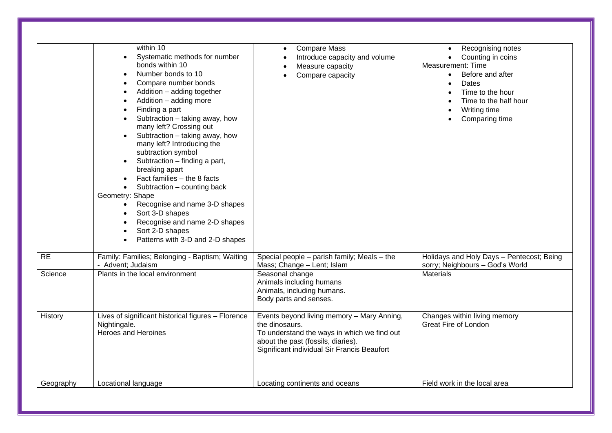|           | within 10<br>Systematic methods for number<br>bonds within 10<br>Number bonds to 10<br>Compare number bonds<br>$\bullet$<br>Addition - adding together<br>$\bullet$<br>Addition - adding more<br>Finding a part<br>Subtraction - taking away, how<br>many left? Crossing out<br>Subtraction - taking away, how<br>many left? Introducing the<br>subtraction symbol<br>Subtraction - finding a part,<br>breaking apart<br>Fact families - the 8 facts<br>Subtraction - counting back<br>Geometry: Shape<br>Recognise and name 3-D shapes<br>$\bullet$<br>Sort 3-D shapes<br>$\bullet$<br>Recognise and name 2-D shapes<br>Sort 2-D shapes<br>Patterns with 3-D and 2-D shapes | <b>Compare Mass</b><br>$\bullet$<br>Introduce capacity and volume<br>Measure capacity<br>Compare capacity                                                                                        | Recognising notes<br>Counting in coins<br>Measurement: Time<br>Before and after<br>$\bullet$<br>Dates<br>$\bullet$<br>Time to the hour<br>Time to the half hour<br>Writing time<br>Comparing time |
|-----------|------------------------------------------------------------------------------------------------------------------------------------------------------------------------------------------------------------------------------------------------------------------------------------------------------------------------------------------------------------------------------------------------------------------------------------------------------------------------------------------------------------------------------------------------------------------------------------------------------------------------------------------------------------------------------|--------------------------------------------------------------------------------------------------------------------------------------------------------------------------------------------------|---------------------------------------------------------------------------------------------------------------------------------------------------------------------------------------------------|
| <b>RE</b> | Family: Families; Belonging - Baptism; Waiting<br>- Advent; Judaism                                                                                                                                                                                                                                                                                                                                                                                                                                                                                                                                                                                                          | Special people - parish family; Meals - the<br>Mass; Change - Lent; Islam                                                                                                                        | Holidays and Holy Days - Pentecost; Being<br>sorry; Neighbours - God's World                                                                                                                      |
| Science   | Plants in the local environment                                                                                                                                                                                                                                                                                                                                                                                                                                                                                                                                                                                                                                              | Seasonal change<br>Animals including humans<br>Animals, including humans.<br>Body parts and senses.                                                                                              | <b>Materials</b>                                                                                                                                                                                  |
| History   | Lives of significant historical figures - Florence<br>Nightingale.<br><b>Heroes and Heroines</b>                                                                                                                                                                                                                                                                                                                                                                                                                                                                                                                                                                             | Events beyond living memory - Mary Anning,<br>the dinosaurs.<br>To understand the ways in which we find out<br>about the past (fossils, diaries).<br>Significant individual Sir Francis Beaufort | Changes within living memory<br><b>Great Fire of London</b>                                                                                                                                       |
| Geography | Locational language                                                                                                                                                                                                                                                                                                                                                                                                                                                                                                                                                                                                                                                          | Locating continents and oceans                                                                                                                                                                   | Field work in the local area                                                                                                                                                                      |